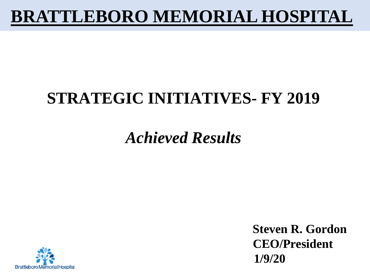### **BRATTLEBORO MEMORIAL HOSPITAL**

### **STRATEGIC INITIATIVES- FY 2019**

### *Achieved Results*



**Steven R. Gordon CEO/President 1/9/20**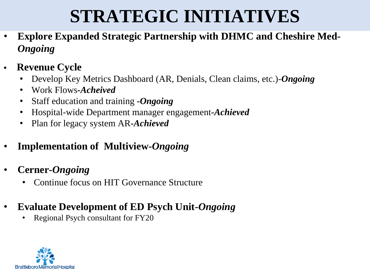## **STRATEGIC INITIATIVES**

- **Explore Expanded Strategic Partnership with DHMC and Cheshire Med***-Ongoing*
- **• Revenue Cycle** 
	- Develop Key Metrics Dashboard (AR, Denials, Clean claims, etc.)-*Ongoing*
	- Work Flows*-Acheived*
	- Staff education and training *-Ongoing*
	- Hospital-wide Department manager engagement*-Achieved*
	- Plan for legacy system AR*-Achieved*
- **Implementation of Multiview-***Ongoing*
- **Cerner-***Ongoing*
	- Continue focus on HIT Governance Structure
- **Evaluate Development of ED Psych Unit-***Ongoing*
	- Regional Psych consultant for FY20

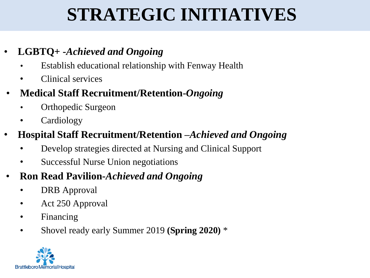# **STRATEGIC INITIATIVES**

#### • **LGBTQ+ -***Achieved and Ongoing*

- Establish educational relationship with Fenway Health
- Clinical services
- **Medical Staff Recruitment/Retention-***Ongoing*
	- Orthopedic Surgeon
	- Cardiology

#### • **Hospital Staff Recruitment/Retention –***Achieved and Ongoing*

- Develop strategies directed at Nursing and Clinical Support
- Successful Nurse Union negotiations

#### • **Ron Read Pavilion-***Achieved and Ongoing*

- DRB Approval
- Act 250 Approval
- Financing
- Shovel ready early Summer 2019 **(Spring 2020)** \*